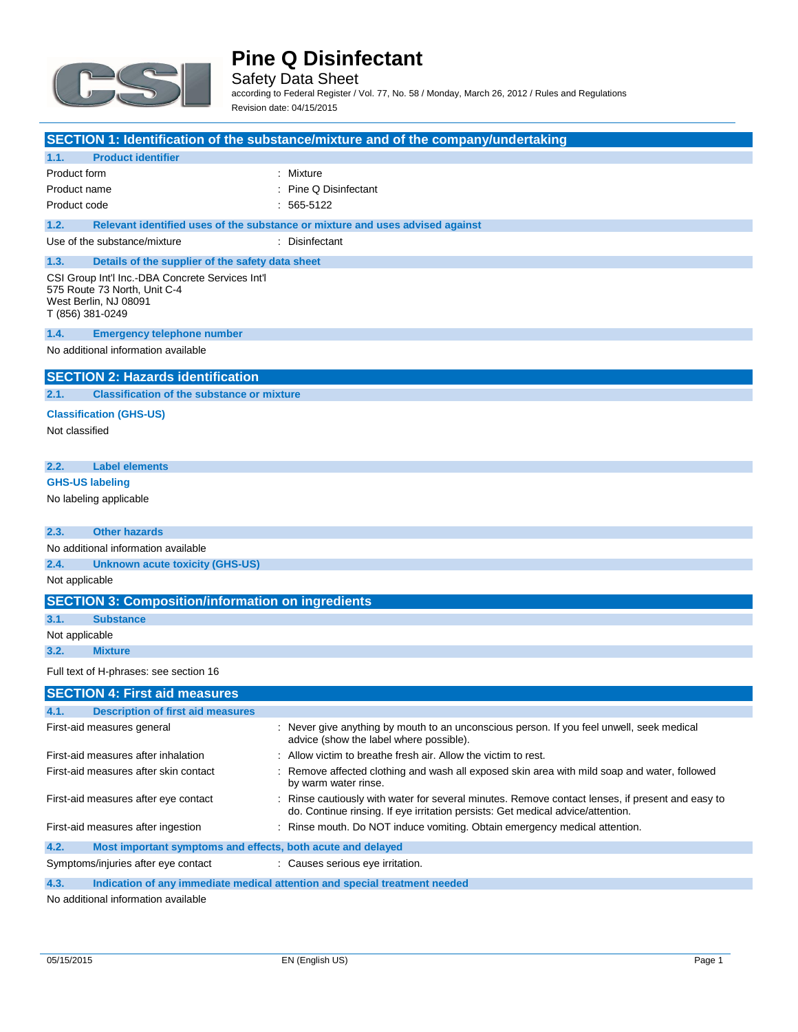

Safety Data Sheet according to Federal Register / Vol. 77, No. 58 / Monday, March 26, 2012 / Rules and Regulations Revision date: 04/15/2015

|                                                                           |                                                             | <b>SECTION 1: Identification of the substance/mixture and of the company/undertaking</b>                                                                                            |
|---------------------------------------------------------------------------|-------------------------------------------------------------|-------------------------------------------------------------------------------------------------------------------------------------------------------------------------------------|
| <b>Product identifier</b><br>1.1.                                         |                                                             |                                                                                                                                                                                     |
| Product form                                                              |                                                             | : Mixture                                                                                                                                                                           |
| Product name                                                              |                                                             | Pine Q Disinfectant                                                                                                                                                                 |
| Product code                                                              |                                                             | 565-5122                                                                                                                                                                            |
| 1.2.                                                                      |                                                             |                                                                                                                                                                                     |
| Use of the substance/mixture                                              |                                                             | Relevant identified uses of the substance or mixture and uses advised against<br>: Disinfectant                                                                                     |
|                                                                           |                                                             |                                                                                                                                                                                     |
| 1.3.                                                                      | Details of the supplier of the safety data sheet            |                                                                                                                                                                                     |
| 575 Route 73 North, Unit C-4<br>West Berlin, NJ 08091<br>T (856) 381-0249 | CSI Group Int'l Inc.-DBA Concrete Services Int'l            |                                                                                                                                                                                     |
| 1.4.                                                                      | <b>Emergency telephone number</b>                           |                                                                                                                                                                                     |
| No additional information available                                       |                                                             |                                                                                                                                                                                     |
|                                                                           |                                                             |                                                                                                                                                                                     |
|                                                                           | <b>SECTION 2: Hazards identification</b>                    |                                                                                                                                                                                     |
| 2.1.                                                                      | <b>Classification of the substance or mixture</b>           |                                                                                                                                                                                     |
| <b>Classification (GHS-US)</b>                                            |                                                             |                                                                                                                                                                                     |
| Not classified                                                            |                                                             |                                                                                                                                                                                     |
|                                                                           |                                                             |                                                                                                                                                                                     |
| 2.2.<br><b>Label elements</b>                                             |                                                             |                                                                                                                                                                                     |
| <b>GHS-US labeling</b>                                                    |                                                             |                                                                                                                                                                                     |
| No labeling applicable                                                    |                                                             |                                                                                                                                                                                     |
|                                                                           |                                                             |                                                                                                                                                                                     |
| 2.3.<br><b>Other hazards</b>                                              |                                                             |                                                                                                                                                                                     |
| No additional information available                                       |                                                             |                                                                                                                                                                                     |
| 2.4.                                                                      | <b>Unknown acute toxicity (GHS-US)</b>                      |                                                                                                                                                                                     |
| Not applicable                                                            |                                                             |                                                                                                                                                                                     |
|                                                                           | <b>SECTION 3: Composition/information on ingredients</b>    |                                                                                                                                                                                     |
| 3.1.<br><b>Substance</b>                                                  |                                                             |                                                                                                                                                                                     |
| Not applicable                                                            |                                                             |                                                                                                                                                                                     |
| 3.2.<br><b>Mixture</b>                                                    |                                                             |                                                                                                                                                                                     |
| Full text of H-phrases: see section 16                                    |                                                             |                                                                                                                                                                                     |
|                                                                           | <b>SECTION 4: First aid measures</b>                        |                                                                                                                                                                                     |
| 4.1.                                                                      | <b>Description of first aid measures</b>                    |                                                                                                                                                                                     |
| First-aid measures general                                                |                                                             | : Never give anything by mouth to an unconscious person. If you feel unwell, seek medical<br>advice (show the label where possible).                                                |
| First-aid measures after inhalation                                       |                                                             | : Allow victim to breathe fresh air. Allow the victim to rest.                                                                                                                      |
| First-aid measures after skin contact                                     |                                                             | Remove affected clothing and wash all exposed skin area with mild soap and water, followed<br>by warm water rinse.                                                                  |
| First-aid measures after eye contact                                      |                                                             | : Rinse cautiously with water for several minutes. Remove contact lenses, if present and easy to<br>do. Continue rinsing. If eye irritation persists: Get medical advice/attention. |
| First-aid measures after ingestion                                        |                                                             | : Rinse mouth. Do NOT induce vomiting. Obtain emergency medical attention.                                                                                                          |
| 4.2.                                                                      | Most important symptoms and effects, both acute and delayed |                                                                                                                                                                                     |
| Symptoms/injuries after eye contact                                       |                                                             | : Causes serious eye irritation.                                                                                                                                                    |

**4.3. Indication of any immediate medical attention and special treatment needed**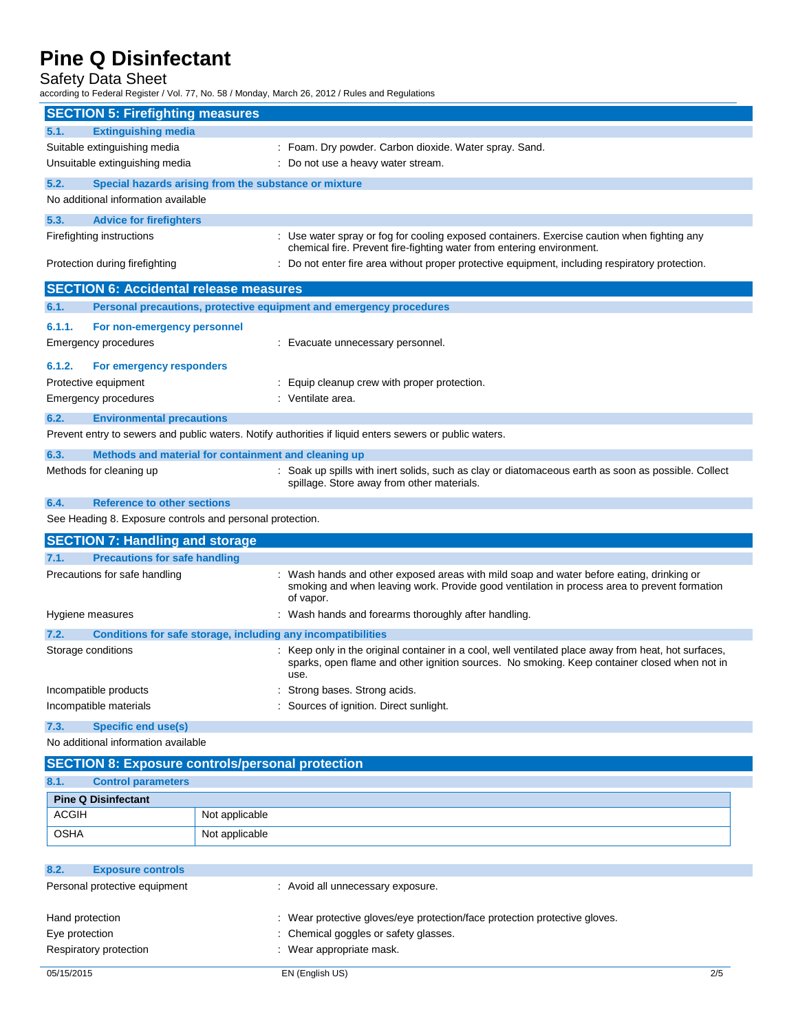# Safety Data Sheet

according to Federal Register / Vol. 77, No. 58 / Monday, March 26, 2012 / Rules and Regulations

|                                                           | <b>SECTION 5: Firefighting measures</b>                             |                                                                                                                                                                                                            |  |  |
|-----------------------------------------------------------|---------------------------------------------------------------------|------------------------------------------------------------------------------------------------------------------------------------------------------------------------------------------------------------|--|--|
| 5.1.                                                      | <b>Extinguishing media</b>                                          |                                                                                                                                                                                                            |  |  |
| Suitable extinguishing media                              |                                                                     | : Foam. Dry powder. Carbon dioxide. Water spray. Sand.                                                                                                                                                     |  |  |
| Unsuitable extinguishing media                            |                                                                     | : Do not use a heavy water stream.                                                                                                                                                                         |  |  |
| 5.2.                                                      | Special hazards arising from the substance or mixture               |                                                                                                                                                                                                            |  |  |
|                                                           | No additional information available                                 |                                                                                                                                                                                                            |  |  |
| 5.3.                                                      | <b>Advice for firefighters</b>                                      |                                                                                                                                                                                                            |  |  |
| Firefighting instructions                                 |                                                                     | : Use water spray or fog for cooling exposed containers. Exercise caution when fighting any<br>chemical fire. Prevent fire-fighting water from entering environment.                                       |  |  |
|                                                           | Protection during firefighting                                      | : Do not enter fire area without proper protective equipment, including respiratory protection.                                                                                                            |  |  |
|                                                           | <b>SECTION 6: Accidental release measures</b>                       |                                                                                                                                                                                                            |  |  |
| 6.1.                                                      | Personal precautions, protective equipment and emergency procedures |                                                                                                                                                                                                            |  |  |
| 6.1.1.                                                    | For non-emergency personnel                                         |                                                                                                                                                                                                            |  |  |
|                                                           | <b>Emergency procedures</b>                                         | : Evacuate unnecessary personnel.                                                                                                                                                                          |  |  |
| 6.1.2.                                                    | For emergency responders                                            |                                                                                                                                                                                                            |  |  |
|                                                           | Protective equipment                                                | Equip cleanup crew with proper protection.                                                                                                                                                                 |  |  |
|                                                           | <b>Emergency procedures</b>                                         | : Ventilate area.                                                                                                                                                                                          |  |  |
| 6.2.                                                      | <b>Environmental precautions</b>                                    |                                                                                                                                                                                                            |  |  |
|                                                           |                                                                     | Prevent entry to sewers and public waters. Notify authorities if liquid enters sewers or public waters.                                                                                                    |  |  |
| 6.3.                                                      | Methods and material for containment and cleaning up                |                                                                                                                                                                                                            |  |  |
|                                                           | Methods for cleaning up                                             | : Soak up spills with inert solids, such as clay or diatomaceous earth as soon as possible. Collect<br>spillage. Store away from other materials.                                                          |  |  |
| 6.4.                                                      | <b>Reference to other sections</b>                                  |                                                                                                                                                                                                            |  |  |
| See Heading 8. Exposure controls and personal protection. |                                                                     |                                                                                                                                                                                                            |  |  |
|                                                           | <b>SECTION 7: Handling and storage</b>                              |                                                                                                                                                                                                            |  |  |
| 7.1.                                                      | <b>Precautions for safe handling</b>                                |                                                                                                                                                                                                            |  |  |
|                                                           | Precautions for safe handling                                       | Wash hands and other exposed areas with mild soap and water before eating, drinking or<br>smoking and when leaving work. Provide good ventilation in process area to prevent formation<br>of vapor.        |  |  |
|                                                           | Hygiene measures                                                    | : Wash hands and forearms thoroughly after handling.                                                                                                                                                       |  |  |
| 7.2.                                                      | Conditions for safe storage, including any incompatibilities        |                                                                                                                                                                                                            |  |  |
|                                                           | Storage conditions                                                  | Keep only in the original container in a cool, well ventilated place away from heat, hot surfaces,<br>sparks, open flame and other ignition sources. No smoking. Keep container closed when not in<br>use. |  |  |
|                                                           | Incompatible products                                               | Strong bases. Strong acids.                                                                                                                                                                                |  |  |
|                                                           | Incompatible materials                                              | Sources of ignition. Direct sunlight.                                                                                                                                                                      |  |  |
| 7.3.                                                      | <b>Specific end use(s)</b>                                          |                                                                                                                                                                                                            |  |  |

| <b>SECTION 8: Exposure controls/personal protection</b> |                            |                |  |
|---------------------------------------------------------|----------------------------|----------------|--|
| 8.1.                                                    | <b>Control parameters</b>  |                |  |
|                                                         | <b>Pine Q Disinfectant</b> |                |  |
| <b>ACGIH</b>                                            |                            | Not applicable |  |
| <b>OSHA</b>                                             |                            | Not applicable |  |

| 8.2.<br><b>Exposure controls</b> |                                                                            |     |
|----------------------------------|----------------------------------------------------------------------------|-----|
| Personal protective equipment    | : Avoid all unnecessary exposure.                                          |     |
|                                  |                                                                            |     |
| Hand protection                  | : Wear protective gloves/eye protection/face protection protective gloves. |     |
| Eye protection                   | : Chemical goggles or safety glasses.                                      |     |
| Respiratory protection           | : Wear appropriate mask.                                                   |     |
|                                  |                                                                            |     |
| 05/15/2015                       | EN (English US)                                                            | 2/5 |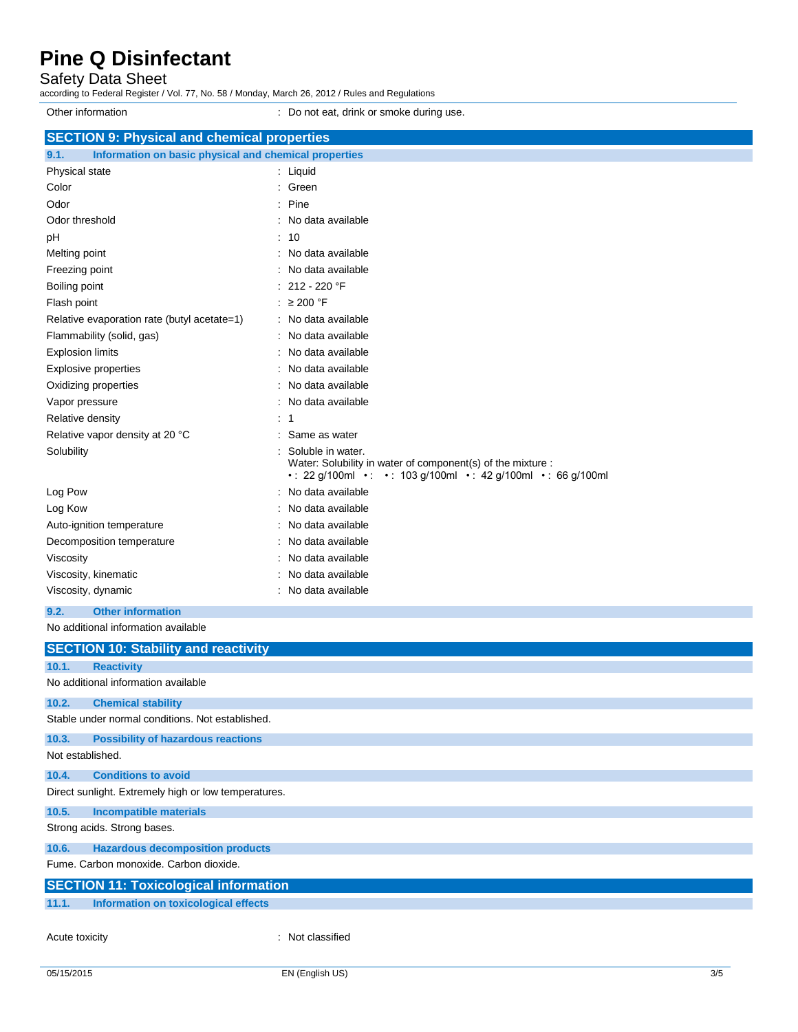Safety Data Sheet

according to Federal Register / Vol. 77, No. 58 / Monday, March 26, 2012 / Rules and Regulations Other information **Other information** : Do not eat, drink or smoke during use. **SECTION 9: Physical and chemical properties 9.1. Information on basic physical and chemical properties** Physical state in the state of the state of the state in the state of the state of the state in the state of the state of the state of the state of the state of the state of the state of the state of the state of the state Color : Green : Green : Green : Green : Green : Green : Green : Green : Green : Green : Green : Green : Green : Green : Green : Green : Green : Green : Green : Green : Green : Green : Green : Green : Green : Green : Green Odor : Pine Odor threshold **in the state of the state of the state of the state of the state of the state of the state of the state of the state of the state of the state of the state of the state of the state of the state of the stat** pH : 10 Melting point **in the case of the case of the case of the case of the case of the case of the case of the case of the case of the case of the case of the case of the case of the case of the case of the case of the case of** Freezing point **in the case of the Contract Contract Contract Contract Contract Contract Contract Contract Contract Contract Contract Contract Contract Contract Contract Contract Contract Contract Contract Contract Contrac** Boiling point : 212 - 220 °F Flash point : ≥ 200 °F Relative evaporation rate (butyl acetate=1) : No data available Flammability (solid, gas) **in the set of the set of the set of the set of the set of the set of the set of the set of the set of the set of the set of the set of the set of the set of the set of the set of the set of the s** Explosion limits **Explosion** limits **Explosion** limits **Explosion** in the set of  $\mathbb{R}$  and  $\mathbb{R}$  and  $\mathbb{R}$  are set of  $\mathbb{R}$  and  $\mathbb{R}$  are set of  $\mathbb{R}$  and  $\mathbb{R}$  are set of  $\mathbb{R}$  and  $\mathbb{R}$  are set Explosive properties **in the set of the set of the set of the set of the set of the set of the set of the set of the set of the set of the set of the set of the set of the set of the set of the set of the set of the set of** Oxidizing properties **in the contract of the Contract August** 2012 : No data available Vapor pressure in the set of the set of the set of the Vapor pressure in the Vapor pressure Relative density in the set of the set of the set of the set of the set of the set of the set of the set of the set of the set of the set of the set of the set of the set of the set of the set of the set of the set of the Relative vapor density at 20 °C : Same as water Solubility : Soluble in water. Water: Solubility in water of component(s) of the mixture : • : 22 g/100ml • : • : 103 g/100ml • : 42 g/100ml • : 66 g/100ml Log Pow : No data available Log Kow **: No data available** Auto-ignition temperature **interest and the Contract Contract Auto-** : No data available Decomposition temperature : No data available Viscosity : No data available Viscosity, kinematic **intervalse in the Contract of Contract Available** : No data available Viscosity, dynamic **intervalse in the Contract of Contract Available** : No data available **9.2. Other information**

| <b>SECTION 10: Stability and reactivity</b>          |                               |  |  |  |
|------------------------------------------------------|-------------------------------|--|--|--|
| 10.1.<br><b>Reactivity</b>                           |                               |  |  |  |
| No additional information available                  |                               |  |  |  |
| 10.2.<br><b>Chemical stability</b>                   |                               |  |  |  |
| Stable under normal conditions. Not established.     |                               |  |  |  |
| 10.3.<br><b>Possibility of hazardous reactions</b>   |                               |  |  |  |
| Not established.                                     |                               |  |  |  |
| <b>Conditions to avoid</b><br>10.4.                  |                               |  |  |  |
| Direct sunlight. Extremely high or low temperatures. |                               |  |  |  |
| 10.5.                                                | <b>Incompatible materials</b> |  |  |  |
| Strong acids. Strong bases.                          |                               |  |  |  |
| <b>Hazardous decomposition products</b><br>10.6.     |                               |  |  |  |
| Fume, Carbon monoxide, Carbon dioxide,               |                               |  |  |  |
| <b>SECTION 11: Toxicological information</b>         |                               |  |  |  |
| 11.1.<br>Information on toxicological effects        |                               |  |  |  |
| Acute toxicity                                       | : Not classified              |  |  |  |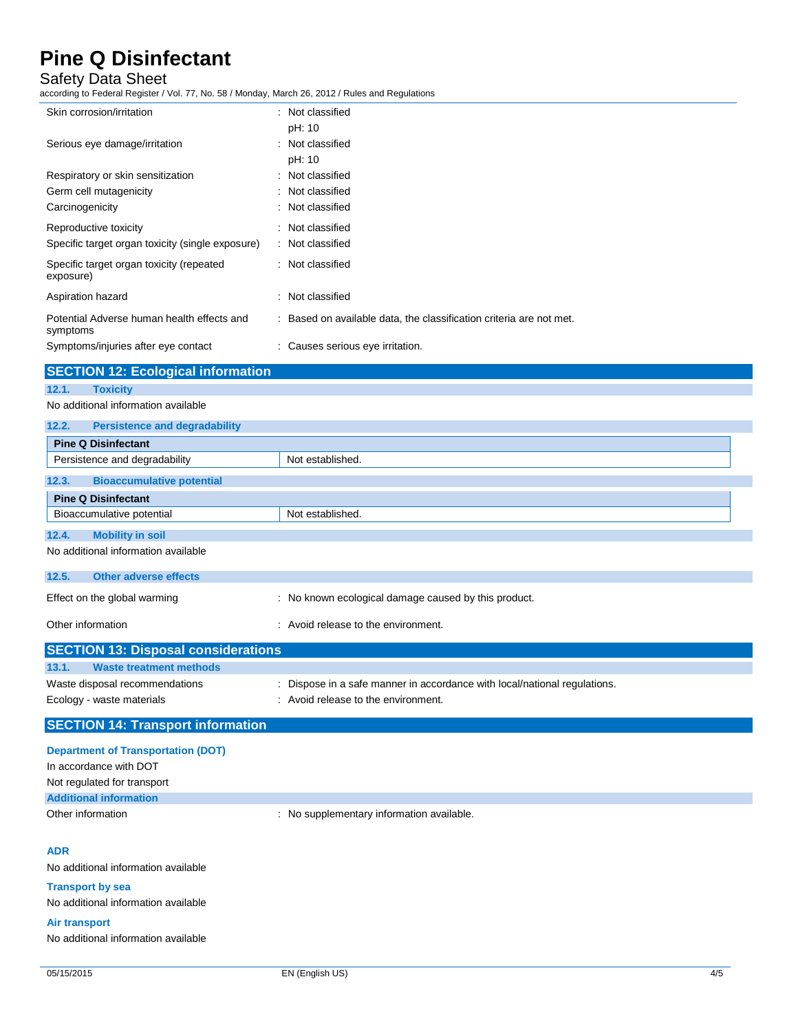# Safety Data Sheet

according to Federal Register / Vol. 77, No. 58 / Monday, March 26, 2012 / Rules and Regulations

| Skin corrosion/irritation                              |  | : Not classified                                                    |  |
|--------------------------------------------------------|--|---------------------------------------------------------------------|--|
|                                                        |  | pH: 10                                                              |  |
| Serious eye damage/irritation                          |  | : Not classified                                                    |  |
|                                                        |  | pH: 10                                                              |  |
| Respiratory or skin sensitization                      |  | : Not classified                                                    |  |
| Germ cell mutagenicity                                 |  | : Not classified                                                    |  |
| Carcinogenicity                                        |  | : Not classified                                                    |  |
| Reproductive toxicity                                  |  | : Not classified                                                    |  |
| Specific target organ toxicity (single exposure)       |  | : Not classified                                                    |  |
| Specific target organ toxicity (repeated<br>exposure)  |  | : Not classified                                                    |  |
| Aspiration hazard                                      |  | : Not classified                                                    |  |
| Potential Adverse human health effects and<br>symptoms |  | : Based on available data, the classification criteria are not met. |  |
| Symptoms/injuries after eye contact                    |  | : Causes serious eye irritation.                                    |  |
| <b>SECTION 12: Ecological information</b>              |  |                                                                     |  |
|                                                        |  |                                                                     |  |

**12.1. Toxicity** No additional information available

### **12.2. Persistence and degradability**

| <b>Pine Q Disinfectant</b>                |                                                      |  |  |
|-------------------------------------------|------------------------------------------------------|--|--|
| Persistence and degradability             | Not established.                                     |  |  |
| 12.3.<br><b>Bioaccumulative potential</b> |                                                      |  |  |
| <b>Pine Q Disinfectant</b>                |                                                      |  |  |
| Bioaccumulative potential                 | Not established.                                     |  |  |
|                                           |                                                      |  |  |
| 12.4.<br><b>Mobility in soil</b>          |                                                      |  |  |
| No additional information available       |                                                      |  |  |
| 12.5.<br><b>Other adverse effects</b>     |                                                      |  |  |
| Effect on the global warming              | : No known ecological damage caused by this product. |  |  |

|       | Other information                          | : Avoid release to the environment.                                       |
|-------|--------------------------------------------|---------------------------------------------------------------------------|
|       | <b>SECTION 13: Disposal considerations</b> |                                                                           |
| 13.1. | <b>Waste treatment methods</b>             |                                                                           |
|       | Waste disposal recommendations             | : Dispose in a safe manner in accordance with local/national regulations. |
|       | Ecology - waste materials                  | : Avoid release to the environment.                                       |

## **SECTION 14: Transport information**

## **ADR**

No additional information available

#### **Transport by sea**

No additional information available

#### **Air transport**